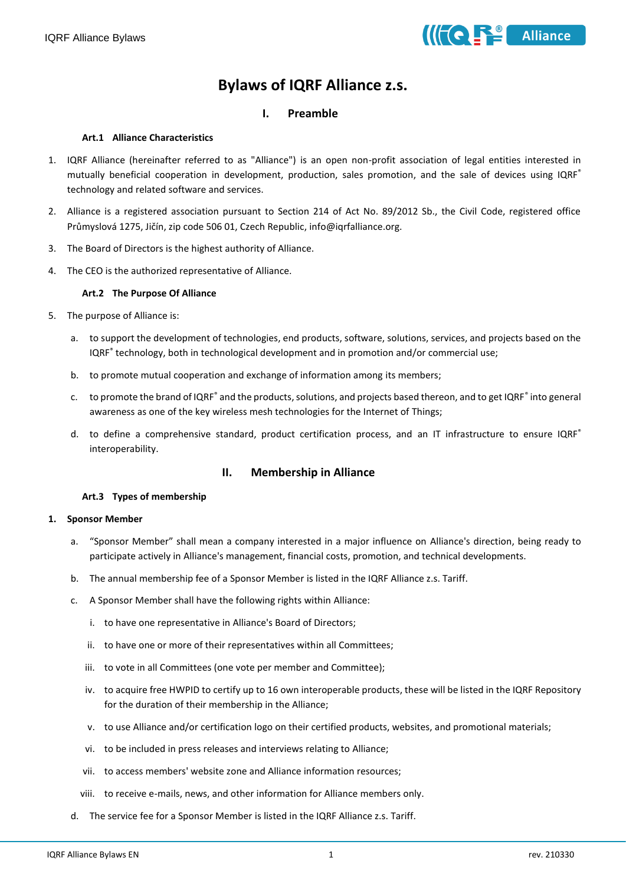

# **Bylaws of IQRF Alliance z.s.**

# **I. Preamble**

## **Art.1 Alliance Characteristics**

- 1. IQRF Alliance (hereinafter referred to as "Alliance") is an open non-profit association of legal entities interested in mutually beneficial cooperation in development, production, sales promotion, and the sale of devices using IQRF® technology and related software and services.
- 2. Alliance is a registered association pursuant to Section 214 of Act No. 89/2012 Sb., the Civil Code, registered office Průmyslová 1275, Jičín, zip code 506 01, Czech Republic, info@iqrfalliance.org.
- 3. The Board of Directors is the highest authority of Alliance.
- 4. The CEO is the authorized representative of Alliance.

#### **Art.2 The Purpose Of Alliance**

- 5. The purpose of Alliance is:
	- a. to support the development of technologies, end products, software, solutions, services, and projects based on the IQRF<sup>®</sup> technology, both in technological development and in promotion and/or commercial use;
	- b. to promote mutual cooperation and exchange of information among its members;
	- c. to promote the brand of IQRF<sup>®</sup> and the products, solutions, and projects based thereon, and to get IQRF<sup>®</sup> into general awareness as one of the key wireless mesh technologies for the Internet of Things;
	- d. to define a comprehensive standard, product certification process, and an IT infrastructure to ensure IQRF® interoperability.

# **II. Membership in Alliance**

#### **Art.3 Types of membership**

#### **1. Sponsor Member**

- a. "Sponsor Member" shall mean a company interested in a major influence on Alliance's direction, being ready to participate actively in Alliance's management, financial costs, promotion, and technical developments.
- b. The annual membership fee of a Sponsor Member is listed in the IQRF Alliance z.s. Tariff.
- c. A Sponsor Member shall have the following rights within Alliance:
	- i. to have one representative in Alliance's Board of Directors;
	- ii. to have one or more of their representatives within all Committees;
	- iii. to vote in all Committees (one vote per member and Committee);
	- iv. to acquire free HWPID to certify up to 16 own interoperable products, these will be listed in the IQRF Repository for the duration of their membership in the Alliance;
	- v. to use Alliance and/or certification logo on their certified products, websites, and promotional materials;
	- vi. to be included in press releases and interviews relating to Alliance;
	- vii. to access members' website zone and Alliance information resources;
	- viii. to receive e-mails, news, and other information for Alliance members only.
- d. The service fee for a Sponsor Member is listed in the IQRF Alliance z.s. Tariff.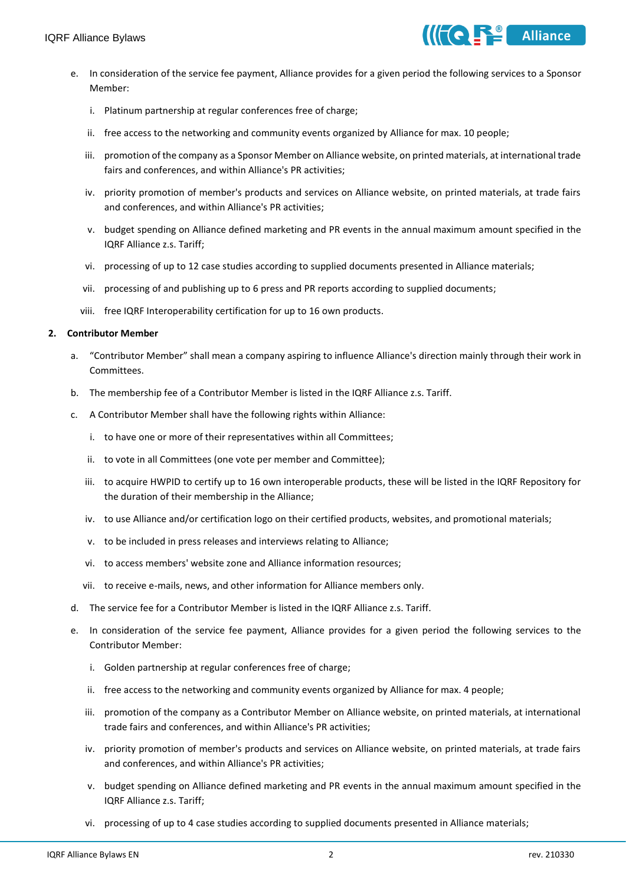- e. In consideration of the service fee payment, Alliance provides for a given period the following services to a Sponsor Member:
	- i. Platinum partnership at regular conferences free of charge;
	- ii. free access to the networking and community events organized by Alliance for max. 10 people;
	- iii. promotion of the company as a Sponsor Member on Alliance website, on printed materials, at international trade fairs and conferences, and within Alliance's PR activities;
	- iv. priority promotion of member's products and services on Alliance website, on printed materials, at trade fairs and conferences, and within Alliance's PR activities;
	- v. budget spending on Alliance defined marketing and PR events in the annual maximum amount specified in the IQRF Alliance z.s. Tariff;
	- vi. processing of up to 12 case studies according to supplied documents presented in Alliance materials;
	- vii. processing of and publishing up to 6 press and PR reports according to supplied documents;
	- viii. free IQRF Interoperability certification for up to 16 own products.

#### **2. Contributor Member**

- a. "Contributor Member" shall mean a company aspiring to influence Alliance's direction mainly through their work in Committees.
- b. The membership fee of a Contributor Member is listed in the IQRF Alliance z.s. Tariff.
- c. A Contributor Member shall have the following rights within Alliance:
	- i. to have one or more of their representatives within all Committees;
	- ii. to vote in all Committees (one vote per member and Committee);
	- iii. to acquire HWPID to certify up to 16 own interoperable products, these will be listed in the IQRF Repository for the duration of their membership in the Alliance;
	- iv. to use Alliance and/or certification logo on their certified products, websites, and promotional materials;
	- v. to be included in press releases and interviews relating to Alliance;
	- vi. to access members' website zone and Alliance information resources;
	- vii. to receive e-mails, news, and other information for Alliance members only.
- d. The service fee for a Contributor Member is listed in the IQRF Alliance z.s. Tariff.
- e. In consideration of the service fee payment, Alliance provides for a given period the following services to the Contributor Member:
	- i. Golden partnership at regular conferences free of charge;
	- ii. free access to the networking and community events organized by Alliance for max. 4 people;
	- iii. promotion of the company as a Contributor Member on Alliance website, on printed materials, at international trade fairs and conferences, and within Alliance's PR activities;
	- iv. priority promotion of member's products and services on Alliance website, on printed materials, at trade fairs and conferences, and within Alliance's PR activities;
	- v. budget spending on Alliance defined marketing and PR events in the annual maximum amount specified in the IQRF Alliance z.s. Tariff;
	- vi. processing of up to 4 case studies according to supplied documents presented in Alliance materials;

 $\mathbf{A}$  Alliance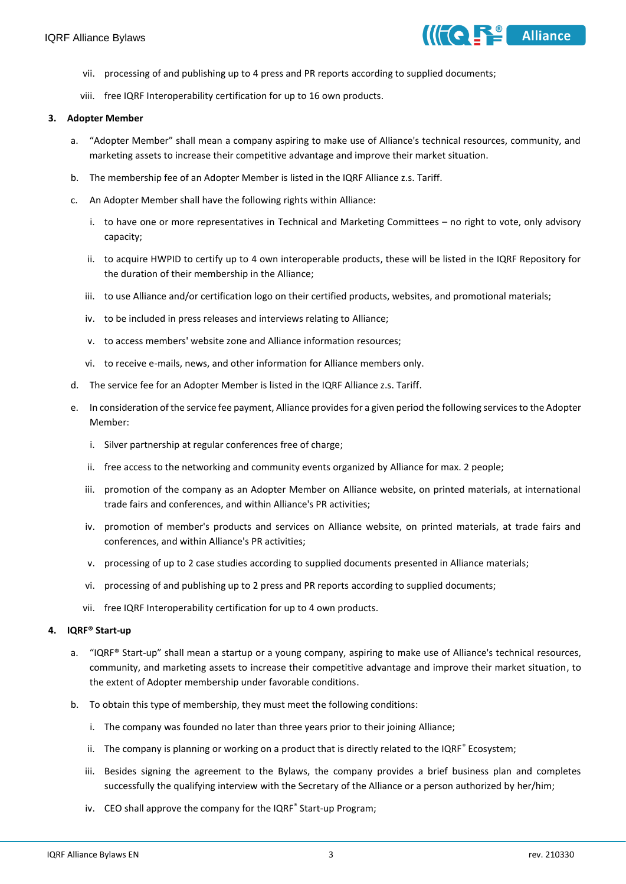

- vii. processing of and publishing up to 4 press and PR reports according to supplied documents;
- viii. free IQRF Interoperability certification for up to 16 own products.

#### **3. Adopter Member**

- a. "Adopter Member" shall mean a company aspiring to make use of Alliance's technical resources, community, and marketing assets to increase their competitive advantage and improve their market situation.
- b. The membership fee of an Adopter Member is listed in the IQRF Alliance z.s. Tariff.
- c. An Adopter Member shall have the following rights within Alliance:
	- i. to have one or more representatives in Technical and Marketing Committees no right to vote, only advisory capacity;
	- ii. to acquire HWPID to certify up to 4 own interoperable products, these will be listed in the IQRF Repository for the duration of their membership in the Alliance;
	- iii. to use Alliance and/or certification logo on their certified products, websites, and promotional materials;
	- iv. to be included in press releases and interviews relating to Alliance;
	- v. to access members' website zone and Alliance information resources;
	- vi. to receive e-mails, news, and other information for Alliance members only.
- d. The service fee for an Adopter Member is listed in the IQRF Alliance z.s. Tariff.
- e. In consideration of the service fee payment, Alliance provides for a given period the following services to the Adopter Member:
	- i. Silver partnership at regular conferences free of charge;
	- ii. free access to the networking and community events organized by Alliance for max. 2 people;
	- iii. promotion of the company as an Adopter Member on Alliance website, on printed materials, at international trade fairs and conferences, and within Alliance's PR activities;
	- iv. promotion of member's products and services on Alliance website, on printed materials, at trade fairs and conferences, and within Alliance's PR activities;
	- v. processing of up to 2 case studies according to supplied documents presented in Alliance materials;
	- vi. processing of and publishing up to 2 press and PR reports according to supplied documents;
	- vii. free IQRF Interoperability certification for up to 4 own products.

#### **4. IQRF® Start-up**

- a. "IQRF® Start-up" shall mean a startup or a young company, aspiring to make use of Alliance's technical resources, community, and marketing assets to increase their competitive advantage and improve their market situation, to the extent of Adopter membership under favorable conditions.
- b. To obtain this type of membership, they must meet the following conditions:
	- i. The company was founded no later than three years prior to their joining Alliance;
	- ii. The company is planning or working on a product that is directly related to the IQRF $^{\circ}$  Ecosystem;
	- iii. Besides signing the agreement to the Bylaws, the company provides a brief business plan and completes successfully the qualifying interview with the Secretary of the Alliance or a person authorized by her/him;
	- iv. CEO shall approve the company for the IQRF<sup>®</sup> Start-up Program;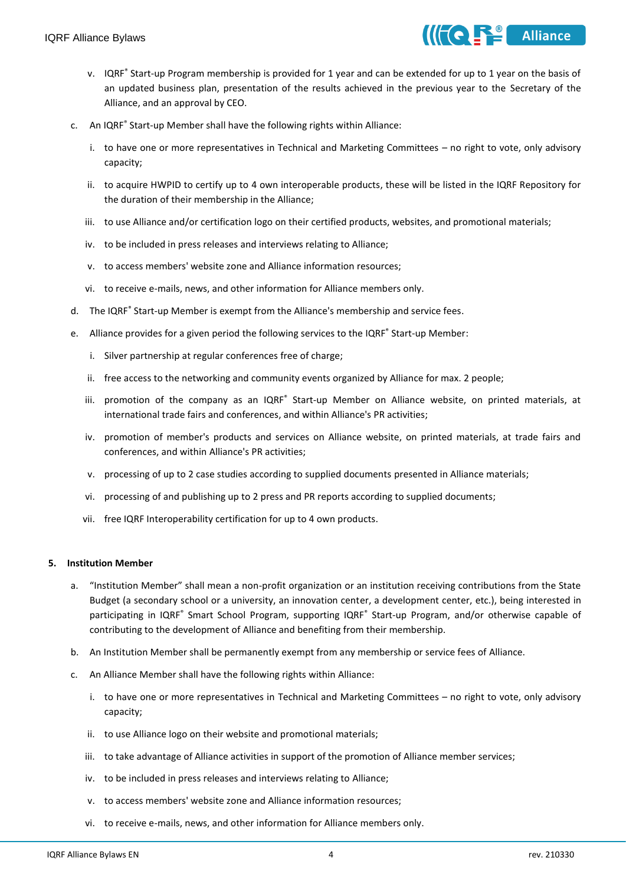

- v. IQRF<sup>®</sup> Start-up Program membership is provided for 1 year and can be extended for up to 1 year on the basis of an updated business plan, presentation of the results achieved in the previous year to the Secretary of the Alliance, and an approval by CEO.
- c. An IQRF<sup>®</sup> Start-up Member shall have the following rights within Alliance:
	- i. to have one or more representatives in Technical and Marketing Committees no right to vote, only advisory capacity;
	- ii. to acquire HWPID to certify up to 4 own interoperable products, these will be listed in the IQRF Repository for the duration of their membership in the Alliance;
	- iii. to use Alliance and/or certification logo on their certified products, websites, and promotional materials;
	- iv. to be included in press releases and interviews relating to Alliance;
	- v. to access members' website zone and Alliance information resources;
	- vi. to receive e-mails, news, and other information for Alliance members only.
- d. The IQRF<sup>®</sup> Start-up Member is exempt from the Alliance's membership and service fees.
- e. Alliance provides for a given period the following services to the IQRF<sup>®</sup> Start-up Member:
	- i. Silver partnership at regular conferences free of charge;
	- ii. free access to the networking and community events organized by Alliance for max. 2 people;
	- iii. promotion of the company as an IQRF® Start-up Member on Alliance website, on printed materials, at international trade fairs and conferences, and within Alliance's PR activities;
	- iv. promotion of member's products and services on Alliance website, on printed materials, at trade fairs and conferences, and within Alliance's PR activities;
	- v. processing of up to 2 case studies according to supplied documents presented in Alliance materials;
	- vi. processing of and publishing up to 2 press and PR reports according to supplied documents;
	- vii. free IQRF Interoperability certification for up to 4 own products.

#### **5. Institution Member**

- a. "Institution Member" shall mean a non-profit organization or an institution receiving contributions from the State Budget (a secondary school or a university, an innovation center, a development center, etc.), being interested in participating in IQRF<sup>®</sup> Smart School Program, supporting IQRF<sup>®</sup> Start-up Program, and/or otherwise capable of contributing to the development of Alliance and benefiting from their membership.
- b. An Institution Member shall be permanently exempt from any membership or service fees of Alliance.
- c. An Alliance Member shall have the following rights within Alliance:
	- i. to have one or more representatives in Technical and Marketing Committees no right to vote, only advisory capacity;
	- ii. to use Alliance logo on their website and promotional materials;
	- iii. to take advantage of Alliance activities in support of the promotion of Alliance member services;
	- iv. to be included in press releases and interviews relating to Alliance;
	- v. to access members' website zone and Alliance information resources;
	- vi. to receive e-mails, news, and other information for Alliance members only.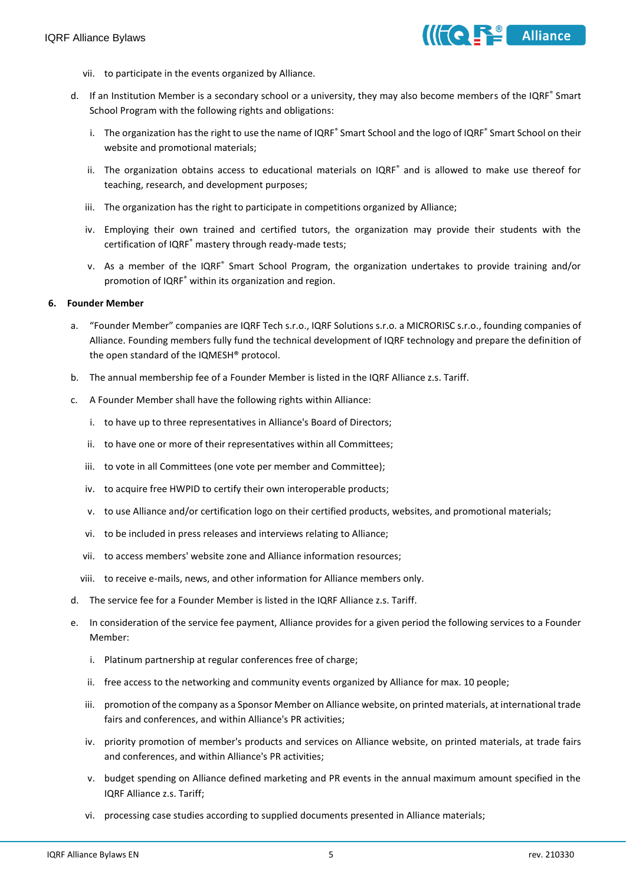

- vii. to participate in the events organized by Alliance.
- d. If an Institution Member is a secondary school or a university, they may also become members of the IQRF<sup>®</sup> Smart School Program with the following rights and obligations:
	- i. The organization has the right to use the name of IQRF<sup>®</sup> Smart School and the logo of IQRF<sup>®</sup> Smart School on their website and promotional materials;
	- ii. The organization obtains access to educational materials on IQRF® and is allowed to make use thereof for teaching, research, and development purposes;
	- iii. The organization has the right to participate in competitions organized by Alliance;
	- iv. Employing their own trained and certified tutors, the organization may provide their students with the certification of IQRF® mastery through ready-made tests;
	- v. As a member of the IQRF® Smart School Program, the organization undertakes to provide training and/or promotion of IQRF® within its organization and region.

#### **6. Founder Member**

- a. "Founder Member" companies are IQRF Tech s.r.o., IQRF Solutions s.r.o. a MICRORISC s.r.o., founding companies of Alliance. Founding members fully fund the technical development of IQRF technology and prepare the definition of the open standard of the IQMESH® protocol.
- b. The annual membership fee of a Founder Member is listed in the IQRF Alliance z.s. Tariff.
- c. A Founder Member shall have the following rights within Alliance:
	- i. to have up to three representatives in Alliance's Board of Directors;
	- ii. to have one or more of their representatives within all Committees;
	- iii. to vote in all Committees (one vote per member and Committee):
	- iv. to acquire free HWPID to certify their own interoperable products;
	- v. to use Alliance and/or certification logo on their certified products, websites, and promotional materials;
	- vi. to be included in press releases and interviews relating to Alliance;
	- vii. to access members' website zone and Alliance information resources;
	- viii. to receive e-mails, news, and other information for Alliance members only.
- d. The service fee for a Founder Member is listed in the IQRF Alliance z.s. Tariff.
- e. In consideration of the service fee payment, Alliance provides for a given period the following services to a Founder Member:
	- i. Platinum partnership at regular conferences free of charge;
	- ii. free access to the networking and community events organized by Alliance for max. 10 people;
	- iii. promotion of the company as a Sponsor Member on Alliance website, on printed materials, at international trade fairs and conferences, and within Alliance's PR activities;
	- iv. priority promotion of member's products and services on Alliance website, on printed materials, at trade fairs and conferences, and within Alliance's PR activities;
	- v. budget spending on Alliance defined marketing and PR events in the annual maximum amount specified in the IQRF Alliance z.s. Tariff;
	- vi. processing case studies according to supplied documents presented in Alliance materials;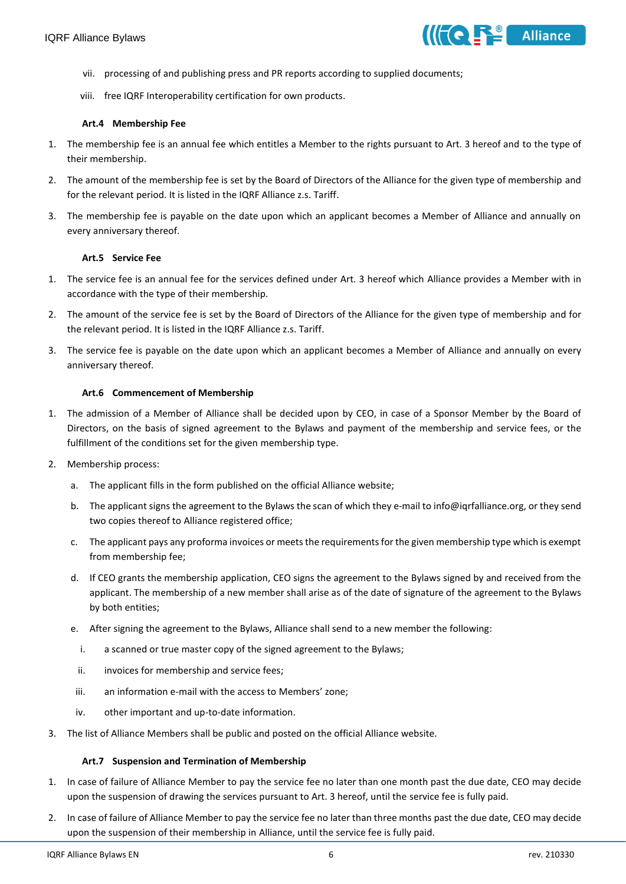

- vii. processing of and publishing press and PR reports according to supplied documents;
- viii. free IQRF Interoperability certification for own products.

#### **Art.4 Membership Fee**

- 1. The membership fee is an annual fee which entitles a Member to the rights pursuant to Art. 3 hereof and to the type of their membership.
- 2. The amount of the membership fee is set by the Board of Directors of the Alliance for the given type of membership and for the relevant period. It is listed in the IQRF Alliance z.s. Tariff.
- 3. The membership fee is payable on the date upon which an applicant becomes a Member of Alliance and annually on every anniversary thereof.

#### **Art.5 Service Fee**

- 1. The service fee is an annual fee for the services defined under Art. 3 hereof which Alliance provides a Member with in accordance with the type of their membership.
- 2. The amount of the service fee is set by the Board of Directors of the Alliance for the given type of membership and for the relevant period. It is listed in the IQRF Alliance z.s. Tariff.
- 3. The service fee is payable on the date upon which an applicant becomes a Member of Alliance and annually on every anniversary thereof.

#### **Art.6 Commencement of Membership**

- 1. The admission of a Member of Alliance shall be decided upon by CEO, in case of a Sponsor Member by the Board of Directors, on the basis of signed agreement to the Bylaws and payment of the membership and service fees, or the fulfillment of the conditions set for the given membership type.
- 2. Membership process:
	- a. The applicant fills in the form published on the official Alliance website;
	- b. The applicant signs the agreement to the Bylaws the scan of which they e-mail to info@iqrfalliance.org, or they send two copies thereof to Alliance registered office;
	- c. The applicant pays any proforma invoices or meets the requirements for the given membership type which is exempt from membership fee;
	- d. If CEO grants the membership application, CEO signs the agreement to the Bylaws signed by and received from the applicant. The membership of a new member shall arise as of the date of signature of the agreement to the Bylaws by both entities;
	- e. After signing the agreement to the Bylaws, Alliance shall send to a new member the following:
		- i. a scanned or true master copy of the signed agreement to the Bylaws;
		- ii. invoices for membership and service fees;
	- iii. an information e-mail with the access to Members' zone;
	- iv. other important and up-to-date information.
- 3. The list of Alliance Members shall be public and posted on the official Alliance website.

#### **Art.7 Suspension and Termination of Membership**

- 1. In case of failure of Alliance Member to pay the service fee no later than one month past the due date, CEO may decide upon the suspension of drawing the services pursuant to Art. 3 hereof, until the service fee is fully paid.
- 2. In case of failure of Alliance Member to pay the service fee no later than three months past the due date, CEO may decide upon the suspension of their membership in Alliance, until the service fee is fully paid.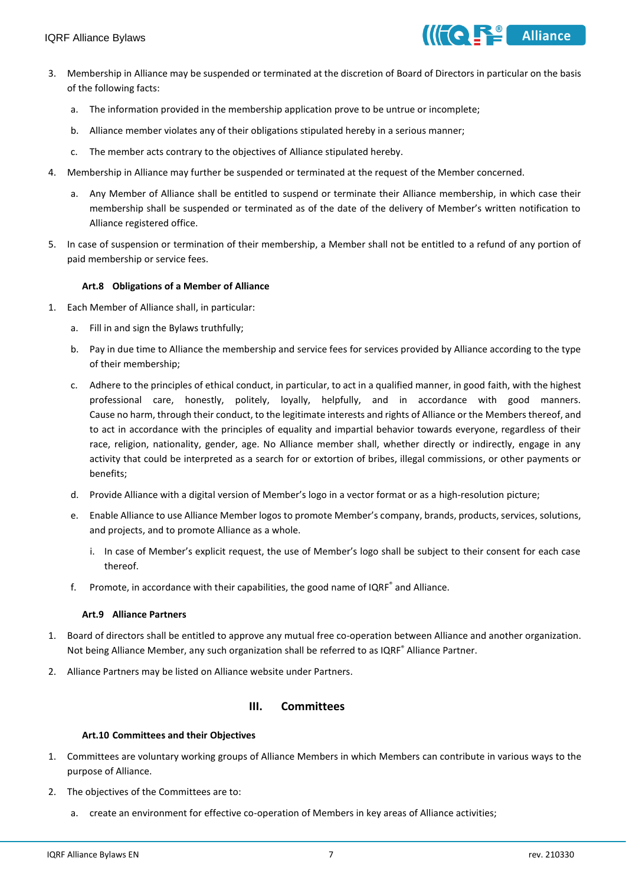

- 3. Membership in Alliance may be suspended or terminated at the discretion of Board of Directors in particular on the basis of the following facts:
	- a. The information provided in the membership application prove to be untrue or incomplete;
	- b. Alliance member violates any of their obligations stipulated hereby in a serious manner;
	- c. The member acts contrary to the objectives of Alliance stipulated hereby.
- 4. Membership in Alliance may further be suspended or terminated at the request of the Member concerned.
	- a. Any Member of Alliance shall be entitled to suspend or terminate their Alliance membership, in which case their membership shall be suspended or terminated as of the date of the delivery of Member's written notification to Alliance registered office.
- 5. In case of suspension or termination of their membership, a Member shall not be entitled to a refund of any portion of paid membership or service fees.

## **Art.8 Obligations of a Member of Alliance**

- 1. Each Member of Alliance shall, in particular:
	- a. Fill in and sign the Bylaws truthfully;
	- b. Pay in due time to Alliance the membership and service fees for services provided by Alliance according to the type of their membership;
	- c. Adhere to the principles of ethical conduct, in particular, to act in a qualified manner, in good faith, with the highest professional care, honestly, politely, loyally, helpfully, and in accordance with good manners. Cause no harm, through their conduct, to the legitimate interests and rights of Alliance or the Members thereof, and to act in accordance with the principles of equality and impartial behavior towards everyone, regardless of their race, religion, nationality, gender, age. No Alliance member shall, whether directly or indirectly, engage in any activity that could be interpreted as a search for or extortion of bribes, illegal commissions, or other payments or benefits;
	- d. Provide Alliance with a digital version of Member's logo in a vector format or as a high-resolution picture;
	- e. Enable Alliance to use Alliance Member logos to promote Member's company, brands, products, services, solutions, and projects, and to promote Alliance as a whole.
		- i. In case of Member's explicit request, the use of Member's logo shall be subject to their consent for each case thereof.
	- f. Promote, in accordance with their capabilities, the good name of  $IQRF<sup>°</sup>$  and Alliance.

## **Art.9 Alliance Partners**

- 1. Board of directors shall be entitled to approve any mutual free co-operation between Alliance and another organization. Not being Alliance Member, any such organization shall be referred to as IQRF<sup>®</sup> Alliance Partner.
- 2. Alliance Partners may be listed on Alliance website under Partners.

## **III. Committees**

#### **Art.10 Committees and their Objectives**

- 1. Committees are voluntary working groups of Alliance Members in which Members can contribute in various ways to the purpose of Alliance.
- 2. The objectives of the Committees are to:
	- a. create an environment for effective co-operation of Members in key areas of Alliance activities;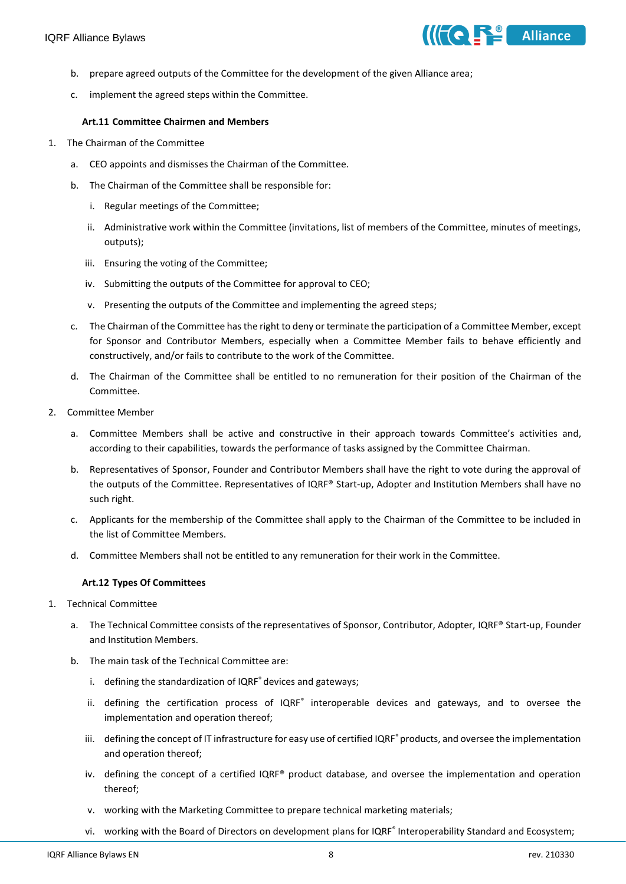

- b. prepare agreed outputs of the Committee for the development of the given Alliance area;
- c. implement the agreed steps within the Committee.

## **Art.11 Committee Chairmen and Members**

- 1. The Chairman of the Committee
	- a. CEO appoints and dismisses the Chairman of the Committee.
	- b. The Chairman of the Committee shall be responsible for:
		- i. Regular meetings of the Committee;
		- ii. Administrative work within the Committee (invitations, list of members of the Committee, minutes of meetings, outputs);
		- iii. Ensuring the voting of the Committee;
		- iv. Submitting the outputs of the Committee for approval to CEO;
		- v. Presenting the outputs of the Committee and implementing the agreed steps;
	- c. The Chairman of the Committee has the right to deny or terminate the participation of a Committee Member, except for Sponsor and Contributor Members, especially when a Committee Member fails to behave efficiently and constructively, and/or fails to contribute to the work of the Committee.
	- d. The Chairman of the Committee shall be entitled to no remuneration for their position of the Chairman of the Committee.
- 2. Committee Member
	- a. Committee Members shall be active and constructive in their approach towards Committee's activities and, according to their capabilities, towards the performance of tasks assigned by the Committee Chairman.
	- b. Representatives of Sponsor, Founder and Contributor Members shall have the right to vote during the approval of the outputs of the Committee. Representatives of IQRF® Start-up, Adopter and Institution Members shall have no such right.
	- c. Applicants for the membership of the Committee shall apply to the Chairman of the Committee to be included in the list of Committee Members.
	- d. Committee Members shall not be entitled to any remuneration for their work in the Committee.

# **Art.12 Types Of Committees**

- 1. Technical Committee
	- a. The Technical Committee consists of the representatives of Sponsor, Contributor, Adopter, IQRF® Start-up, Founder and Institution Members.
	- b. The main task of the Technical Committee are:
		- i. defining the standardization of IQRF<sup>®</sup> devices and gateways;
		- ii. defining the certification process of IQRF<sup>®</sup> interoperable devices and gateways, and to oversee the implementation and operation thereof;
		- iii. defining the concept of IT infrastructure for easy use of certified IQRF® products, and oversee the implementation and operation thereof;
		- iv. defining the concept of a certified IQRF® product database, and oversee the implementation and operation thereof;
		- v. working with the Marketing Committee to prepare technical marketing materials;
		- vi. working with the Board of Directors on development plans for IQRF<sup>®</sup> Interoperability Standard and Ecosystem;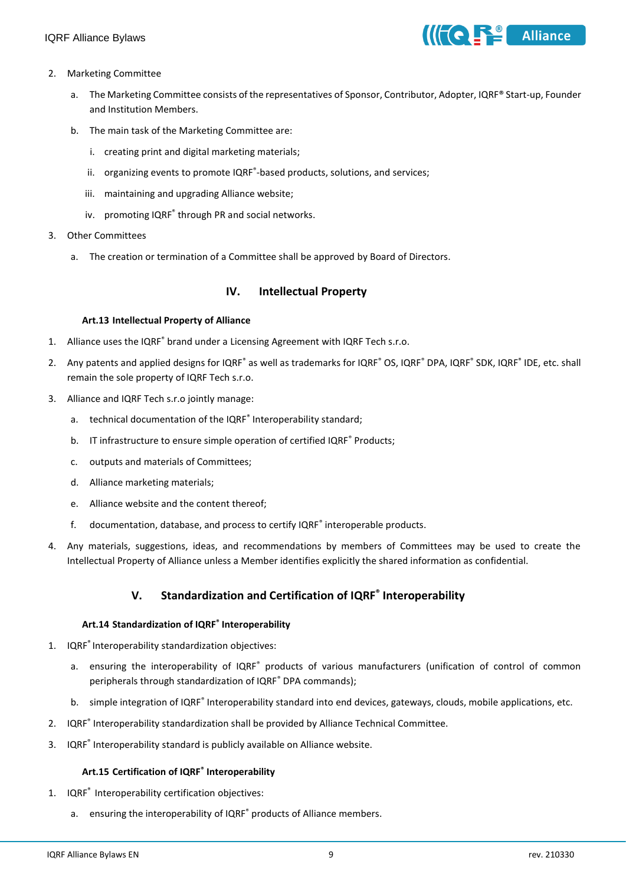

- 2. Marketing Committee
	- a. The Marketing Committee consists of the representatives of Sponsor, Contributor, Adopter, IQRF® Start-up, Founder and Institution Members.
	- b. The main task of the Marketing Committee are:
		- i. creating print and digital marketing materials;
		- ii. organizing events to promote IQRF®-based products, solutions, and services;
		- iii. maintaining and upgrading Alliance website;
		- iv. promoting IQRF<sup>®</sup> through PR and social networks.
- 3. Other Committees
	- a. The creation or termination of a Committee shall be approved by Board of Directors.

# **IV. Intellectual Property**

#### **Art.13 Intellectual Property of Alliance**

- 1. Alliance uses the IQRF® brand under a Licensing Agreement with IQRF Tech s.r.o.
- 2. Any patents and applied designs for IQRF<sup>®</sup> as well as trademarks for IQRF<sup>®</sup> OS, IQRF<sup>®</sup> DPA, IQRF<sup>®</sup> SDK, IQRF<sup>®</sup> IDE, etc. shall remain the sole property of IQRF Tech s.r.o.
- 3. Alliance and IQRF Tech s.r.o jointly manage:
	- a. technical documentation of the IQRF<sup>®</sup> Interoperability standard;
	- b. IT infrastructure to ensure simple operation of certified IQRF® Products;
	- c. outputs and materials of Committees;
	- d. Alliance marketing materials;
	- e. Alliance website and the content thereof;
	- f. documentation, database, and process to certify IQRF<sup>®</sup> interoperable products.
- 4. Any materials, suggestions, ideas, and recommendations by members of Committees may be used to create the Intellectual Property of Alliance unless a Member identifies explicitly the shared information as confidential.

# **V. Standardization and Certification of IQRF® Interoperability**

#### **Art.14 Standardization of IQRF® Interoperability**

- 1. IQRF® Interoperability standardization objectives:
	- a. ensuring the interoperability of IQRF® products of various manufacturers (unification of control of common peripherals through standardization of IQRF® DPA commands);
	- b. simple integration of IQRF® Interoperability standard into end devices, gateways, clouds, mobile applications, etc.
- 2. IQRF<sup>®</sup> Interoperability standardization shall be provided by Alliance Technical Committee.
- 3. IQRF® Interoperability standard is publicly available on Alliance website.

# **Art.15 Certification of IQRF® Interoperability**

- 1. IQRF® Interoperability certification objectives:
	- a. ensuring the interoperability of IQRF<sup>®</sup> products of Alliance members.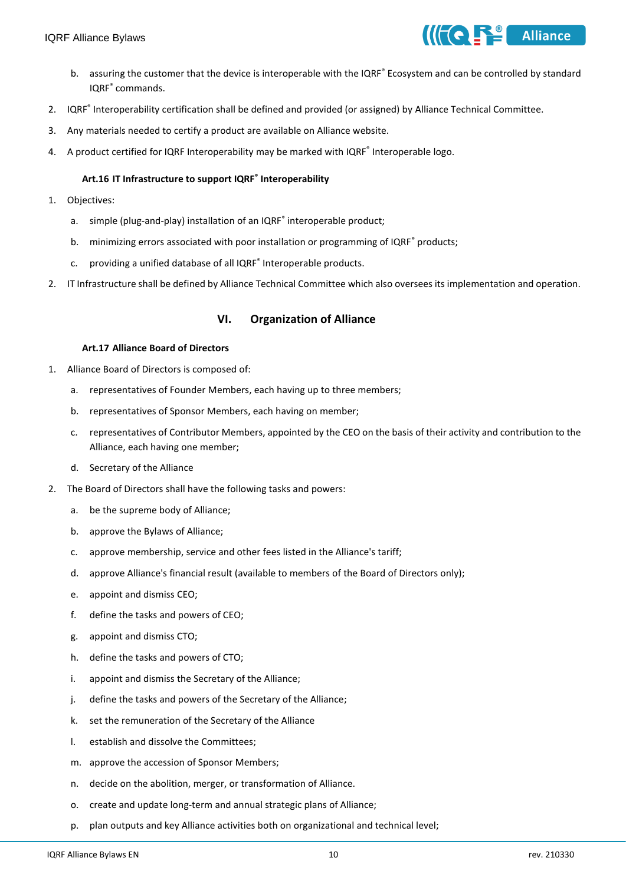

- b. assuring the customer that the device is interoperable with the IQRF® Ecosystem and can be controlled by standard IQRF® commands.
- 2. IQRF<sup>®</sup> Interoperability certification shall be defined and provided (or assigned) by Alliance Technical Committee.
- 3. Any materials needed to certify a product are available on Alliance website.
- 4. A product certified for IQRF Interoperability may be marked with IQRF® Interoperable logo.

## **Art.16 IT Infrastructure to support IQRF® Interoperability**

- 1. Objectives:
	- a. simple (plug-and-play) installation of an IQRF<sup>®</sup> interoperable product;
	- b. minimizing errors associated with poor installation or programming of IQRF® products;
	- c. providing a unified database of all IQRF<sup>®</sup> Interoperable products.
- 2. IT Infrastructure shall be defined by Alliance Technical Committee which also oversees its implementation and operation.

# **VI. Organization of Alliance**

#### **Art.17 Alliance Board of Directors**

- 1. Alliance Board of Directors is composed of:
	- a. representatives of Founder Members, each having up to three members;
	- b. representatives of Sponsor Members, each having on member;
	- c. representatives of Contributor Members, appointed by the CEO on the basis of their activity and contribution to the Alliance, each having one member;
	- d. Secretary of the Alliance
- 2. The Board of Directors shall have the following tasks and powers:
	- a. be the supreme body of Alliance;
	- b. approve the Bylaws of Alliance;
	- c. approve membership, service and other fees listed in the Alliance's tariff;
	- d. approve Alliance's financial result (available to members of the Board of Directors only);
	- e. appoint and dismiss CEO;
	- f. define the tasks and powers of CEO;
	- g. appoint and dismiss CTO;
	- h. define the tasks and powers of CTO;
	- i. appoint and dismiss the Secretary of the Alliance;
	- j. define the tasks and powers of the Secretary of the Alliance;
	- k. set the remuneration of the Secretary of the Alliance
	- l. establish and dissolve the Committees;
	- m. approve the accession of Sponsor Members;
	- n. decide on the abolition, merger, or transformation of Alliance.
	- o. create and update long-term and annual strategic plans of Alliance;
	- p. plan outputs and key Alliance activities both on organizational and technical level;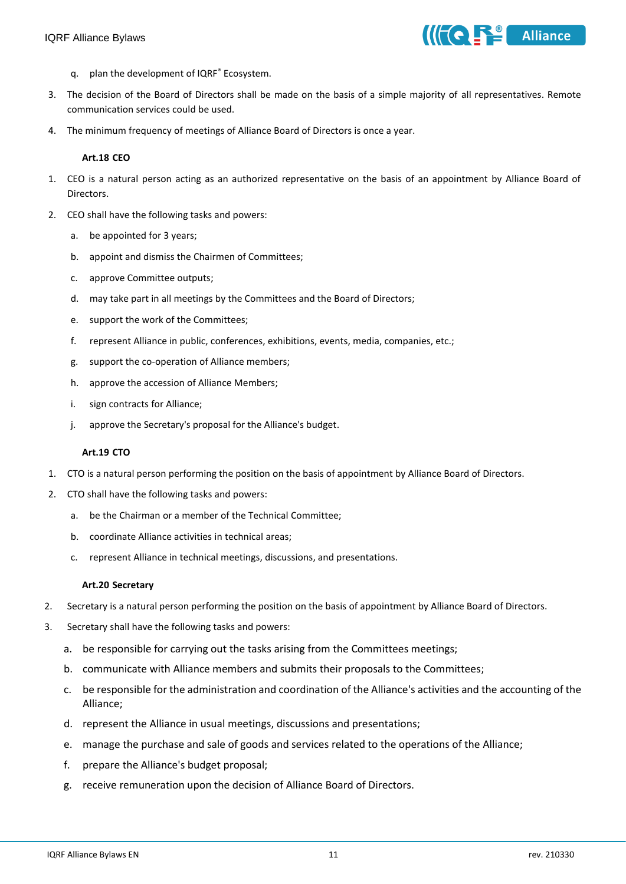

- q. plan the development of IQRF® Ecosystem.
- 3. The decision of the Board of Directors shall be made on the basis of a simple majority of all representatives. Remote communication services could be used.
- 4. The minimum frequency of meetings of Alliance Board of Directors is once a year.

#### **Art.18 CEO**

- 1. CEO is a natural person acting as an authorized representative on the basis of an appointment by Alliance Board of Directors.
- 2. CEO shall have the following tasks and powers:
	- a. be appointed for 3 years;
	- b. appoint and dismiss the Chairmen of Committees;
	- c. approve Committee outputs;
	- d. may take part in all meetings by the Committees and the Board of Directors;
	- e. support the work of the Committees;
	- f. represent Alliance in public, conferences, exhibitions, events, media, companies, etc.;
	- g. support the co-operation of Alliance members;
	- h. approve the accession of Alliance Members;
	- i. sign contracts for Alliance;
	- j. approve the Secretary's proposal for the Alliance's budget.

# **Art.19 CTO**

- 1. CTO is a natural person performing the position on the basis of appointment by Alliance Board of Directors.
- 2. CTO shall have the following tasks and powers:
	- a. be the Chairman or a member of the Technical Committee;
	- b. coordinate Alliance activities in technical areas;
	- c. represent Alliance in technical meetings, discussions, and presentations.

#### **Art.20 Secretary**

- 2. Secretary is a natural person performing the position on the basis of appointment by Alliance Board of Directors.
- 3. Secretary shall have the following tasks and powers:
	- a. be responsible for carrying out the tasks arising from the Committees meetings;
	- b. communicate with Alliance members and submits their proposals to the Committees;
	- c. be responsible for the administration and coordination of the Alliance's activities and the accounting of the Alliance;
	- d. represent the Alliance in usual meetings, discussions and presentations;
	- e. manage the purchase and sale of goods and services related to the operations of the Alliance;
	- f. prepare the Alliance's budget proposal;
	- g. receive remuneration upon the decision of Alliance Board of Directors.